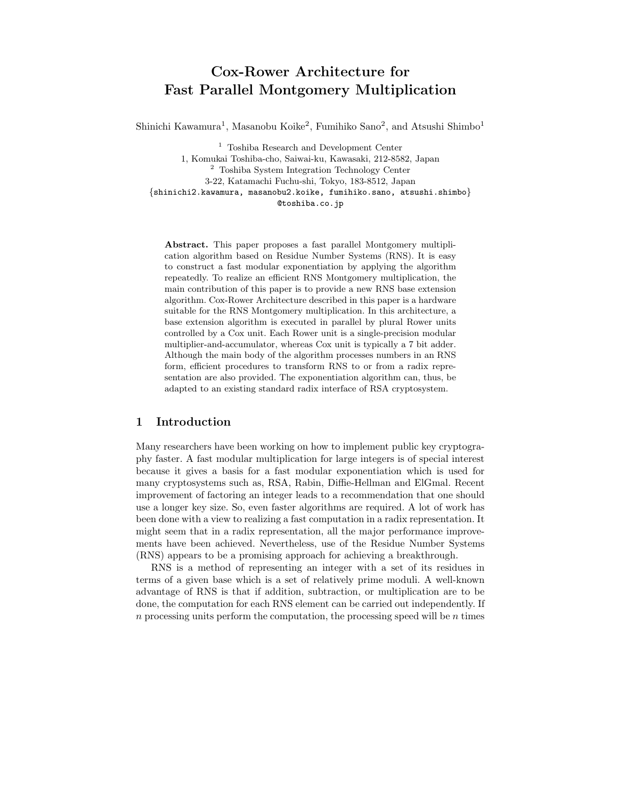# Cox-Rower Architecture for Fast Parallel Montgomery Multiplication

Shinichi Kawamura<sup>1</sup>, Masanobu Koike<sup>2</sup>, Fumihiko Sano<sup>2</sup>, and Atsushi Shimbo<sup>1</sup>

<sup>1</sup> Toshiba Research and Development Center 1, Komukai Toshiba-cho, Saiwai-ku, Kawasaki, 212-8582, Japan <sup>2</sup> Toshiba System Integration Technology Center 3-22, Katamachi Fuchu-shi, Tokyo, 183-8512, Japan {shinichi2.kawamura, masanobu2.koike, fumihiko.sano, atsushi.shimbo} @toshiba.co.jp

Abstract. This paper proposes a fast parallel Montgomery multiplication algorithm based on Residue Number Systems (RNS). It is easy to construct a fast modular exponentiation by applying the algorithm repeatedly. To realize an efficient RNS Montgomery multiplication, the main contribution of this paper is to provide a new RNS base extension algorithm. Cox-Rower Architecture described in this paper is a hardware suitable for the RNS Montgomery multiplication. In this architecture, a base extension algorithm is executed in parallel by plural Rower units controlled by a Cox unit. Each Rower unit is a single-precision modular multiplier-and-accumulator, whereas Cox unit is typically a 7 bit adder. Although the main body of the algorithm processes numbers in an RNS form, efficient procedures to transform RNS to or from a radix representation are also provided. The exponentiation algorithm can, thus, be adapted to an existing standard radix interface of RSA cryptosystem.

# 1 Introduction

Many researchers have been working on how to implement public key cryptography faster. A fast modular multiplication for large integers is of special interest because it gives a basis for a fast modular exponentiation which is used for many cryptosystems such as, RSA, Rabin, Diffie-Hellman and ElGmal. Recent improvement of factoring an integer leads to a recommendation that one should use a longer key size. So, even faster algorithms are required. A lot of work has been done with a view to realizing a fast computation in a radix representation. It might seem that in a radix representation, all the major performance improvements have been achieved. Nevertheless, use of the Residue Number Systems (RNS) appears to be a promising approach for achieving a breakthrough.

RNS is a method of representing an integer with a set of its residues in terms of a given base which is a set of relatively prime moduli. A well-known advantage of RNS is that if addition, subtraction, or multiplication are to be done, the computation for each RNS element can be carried out independently. If n processing units perform the computation, the processing speed will be  $n$  times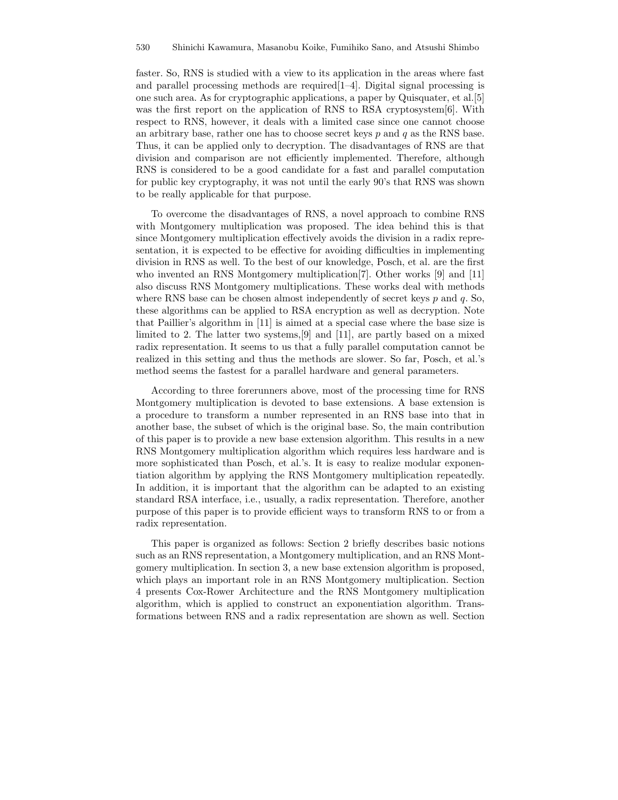faster. So, RNS is studied with a view to its application in the areas where fast and parallel processing methods are required[1–4]. Digital signal processing is one such area. As for cryptographic applications, a paper by Quisquater, et al.[5] was the first report on the application of RNS to RSA cryptosystem[6]. With respect to RNS, however, it deals with a limited case since one cannot choose an arbitrary base, rather one has to choose secret keys  $p$  and  $q$  as the RNS base. Thus, it can be applied only to decryption. The disadvantages of RNS are that division and comparison are not efficiently implemented. Therefore, although RNS is considered to be a good candidate for a fast and parallel computation for public key cryptography, it was not until the early 90's that RNS was shown to be really applicable for that purpose.

To overcome the disadvantages of RNS, a novel approach to combine RNS with Montgomery multiplication was proposed. The idea behind this is that since Montgomery multiplication effectively avoids the division in a radix representation, it is expected to be effective for avoiding difficulties in implementing division in RNS as well. To the best of our knowledge, Posch, et al. are the first who invented an RNS Montgomery multiplication[7]. Other works [9] and [11] also discuss RNS Montgomery multiplications. These works deal with methods where RNS base can be chosen almost independently of secret keys  $p$  and  $q$ . So, these algorithms can be applied to RSA encryption as well as decryption. Note that Paillier's algorithm in [11] is aimed at a special case where the base size is limited to 2. The latter two systems,[9] and [11], are partly based on a mixed radix representation. It seems to us that a fully parallel computation cannot be realized in this setting and thus the methods are slower. So far, Posch, et al.'s method seems the fastest for a parallel hardware and general parameters.

According to three forerunners above, most of the processing time for RNS Montgomery multiplication is devoted to base extensions. A base extension is a procedure to transform a number represented in an RNS base into that in another base, the subset of which is the original base. So, the main contribution of this paper is to provide a new base extension algorithm. This results in a new RNS Montgomery multiplication algorithm which requires less hardware and is more sophisticated than Posch, et al.'s. It is easy to realize modular exponentiation algorithm by applying the RNS Montgomery multiplication repeatedly. In addition, it is important that the algorithm can be adapted to an existing standard RSA interface, i.e., usually, a radix representation. Therefore, another purpose of this paper is to provide efficient ways to transform RNS to or from a radix representation.

This paper is organized as follows: Section 2 briefly describes basic notions such as an RNS representation, a Montgomery multiplication, and an RNS Montgomery multiplication. In section 3, a new base extension algorithm is proposed, which plays an important role in an RNS Montgomery multiplication. Section 4 presents Cox-Rower Architecture and the RNS Montgomery multiplication algorithm, which is applied to construct an exponentiation algorithm. Transformations between RNS and a radix representation are shown as well. Section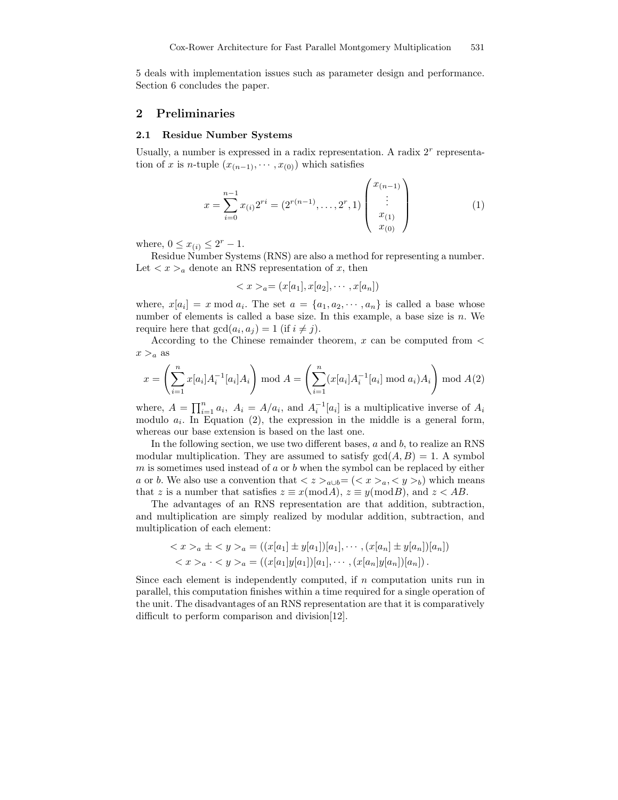5 deals with implementation issues such as parameter design and performance. Section 6 concludes the paper.

## 2 Preliminaries

#### 2.1 Residue Number Systems

Usually, a number is expressed in a radix representation. A radix  $2<sup>r</sup>$  representation of x is n-tuple  $(x_{(n-1)}, \dots, x_{(0)})$  which satisfies

$$
x = \sum_{i=0}^{n-1} x_{(i)} 2^{ri} = (2^{r(n-1)}, \dots, 2^r, 1) \begin{pmatrix} x_{(n-1)} \\ \vdots \\ x_{(1)} \\ x_{(0)} \end{pmatrix}
$$
 (1)

where,  $0 \le x_{(i)} \le 2^r - 1$ .

Residue Number Systems (RNS) are also a method for representing a number. Let  $\langle x \rangle_a$  denote an RNS representation of x, then

$$
\langle x \rangle_a = (x[a_1], x[a_2], \cdots, x[a_n])
$$

where,  $x[a_i] = x \mod a_i$ . The set  $a = \{a_1, a_2, \cdots, a_n\}$  is called a base whose number of elements is called a base size. In this example, a base size is  $n$ . We require here that  $gcd(a_i, a_j) = 1$  (if  $i \neq j$ ).

According to the Chinese remainder theorem,  $x$  can be computed from  $\lt$  $x >_a$  as

$$
x = \left(\sum_{i=1}^{n} x[a_i]A_i^{-1}[a_i]A_i\right) \text{ mod } A = \left(\sum_{i=1}^{n} (x[a_i]A_i^{-1}[a_i] \text{ mod } a_i)A_i\right) \text{ mod } A(2)
$$

where,  $A = \prod_{i=1}^{n} a_i$ ,  $A_i = A/a_i$ , and  $A_i^{-1}[a_i]$  is a multiplicative inverse of  $A_i$ modulo  $a_i$ . In Equation (2), the expression in the middle is a general form, whereas our base extension is based on the last one.

In the following section, we use two different bases,  $a$  and  $b$ , to realize an RNS modular multiplication. They are assumed to satisfy  $gcd(A, B) = 1$ . A symbol  $m$  is sometimes used instead of  $a$  or  $b$  when the symbol can be replaced by either a or b. We also use a convention that  $\langle z \rangle_{a \cup b} = (\langle x \rangle_a, \langle y \rangle_b)$  which means that z is a number that satisfies  $z \equiv x \pmod{A}$ ,  $z \equiv y \pmod{B}$ , and  $z < AB$ .

The advantages of an RNS representation are that addition, subtraction, and multiplication are simply realized by modular addition, subtraction, and multiplication of each element:

$$
\langle x \rangle_a \pm \langle y \rangle_a = ((x[a_1] \pm y[a_1])[a_1], \cdots, (x[a_n] \pm y[a_n])[a_n])
$$
  

$$
\langle x \rangle_a \cdot \langle y \rangle_a = ((x[a_1]y[a_1])[a_1], \cdots, (x[a_n]y[a_n])[a_n])
$$

Since each element is independently computed, if  $n$  computation units run in parallel, this computation finishes within a time required for a single operation of the unit. The disadvantages of an RNS representation are that it is comparatively difficult to perform comparison and division[12].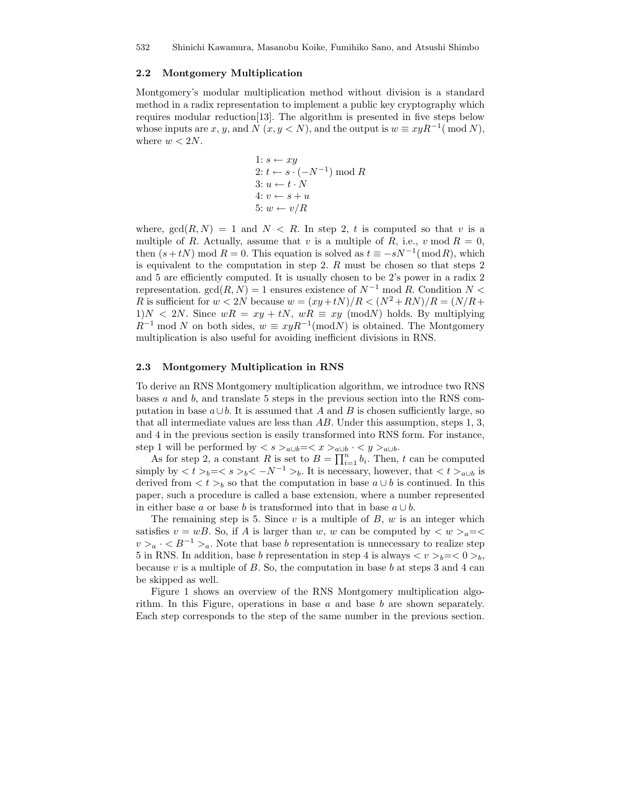#### 2.2 Montgomery Multiplication

Montgomery's modular multiplication method without division is a standard method in a radix representation to implement a public key cryptography which requires modular reduction[13]. The algorithm is presented in five steps below whose inputs are x, y, and N  $(x, y < N)$ , and the output is  $w \equiv xyR^{-1} \pmod{N}$ , where  $w < 2N$ .

1: 
$$
s \leftarrow xy
$$
  
\n2:  $t \leftarrow s \cdot (-N^{-1}) \mod R$   
\n3:  $u \leftarrow t \cdot N$   
\n4:  $v \leftarrow s + u$   
\n5:  $w \leftarrow v/R$ 

where,  $gcd(R, N) = 1$  and  $N < R$ . In step 2, t is computed so that v is a multiple of R. Actually, assume that v is a multiple of R, i.e., v mod  $R = 0$ , then  $(s + tN)$  mod  $R = 0$ . This equation is solved as  $t \equiv -sN^{-1}(\bmod R)$ , which is equivalent to the computation in step 2.  $R$  must be chosen so that steps 2 and 5 are efficiently computed. It is usually chosen to be 2's power in a radix 2 representation.  $gcd(R, N) = 1$  ensures existence of  $N^{-1}$  mod R. Condition  $N <$ R is sufficient for  $w < 2N$  because  $w = (xy + tN)/R < (N^2 + RN)/R = (N/R +$  $1)N < 2N$ . Since  $wR = xy + tN$ ,  $wR \equiv xy \pmod{N}$  holds. By multiplying  $R^{-1}$  mod N on both sides,  $w \equiv xyR^{-1} \pmod{N}$  is obtained. The Montgomery multiplication is also useful for avoiding inefficient divisions in RNS.

#### 2.3 Montgomery Multiplication in RNS

To derive an RNS Montgomery multiplication algorithm, we introduce two RNS bases  $a$  and  $b$ , and translate 5 steps in the previous section into the RNS computation in base  $a \cup b$ . It is assumed that A and B is chosen sufficiently large, so that all intermediate values are less than AB. Under this assumption, steps 1, 3, and 4 in the previous section is easily transformed into RNS form. For instance, step 1 will be performed by  $\langle s \rangle_{a \cup b} = \langle x \rangle_{a \cup b} \cdot \langle y \rangle_{a \cup b}$ .

As for step 2, a constant R is set to  $B = \prod_{i=1}^{n} b_i$ . Then, t can be computed simply by  $\langle t \rangle_b = \langle s \rangle_b \langle -N^{-1} \rangle_b$ . It is necessary, however, that  $\langle t \rangle_{a \cup b}$  is derived from  $\langle t \rangle_b$  so that the computation in base  $a \cup b$  is continued. In this paper, such a procedure is called a base extension, where a number represented in either base a or base b is transformed into that in base  $a \cup b$ .

The remaining step is 5. Since  $v$  is a multiple of  $B, w$  is an integer which satisfies  $v = wB$ . So, if A is larger than w, w can be computed by  $\langle w \rangle_a = \langle$  $v > a \cdot \langle B^{-1} \rangle_a$ . Note that base b representation is unnecessary to realize step 5 in RNS. In addition, base b representation in step 4 is always  $\langle v \rangle_b = \langle 0 \rangle_b$ , because v is a multiple of  $B$ . So, the computation in base b at steps 3 and 4 can be skipped as well.

Figure 1 shows an overview of the RNS Montgomery multiplication algorithm. In this Figure, operations in base  $a$  and base  $b$  are shown separately. Each step corresponds to the step of the same number in the previous section.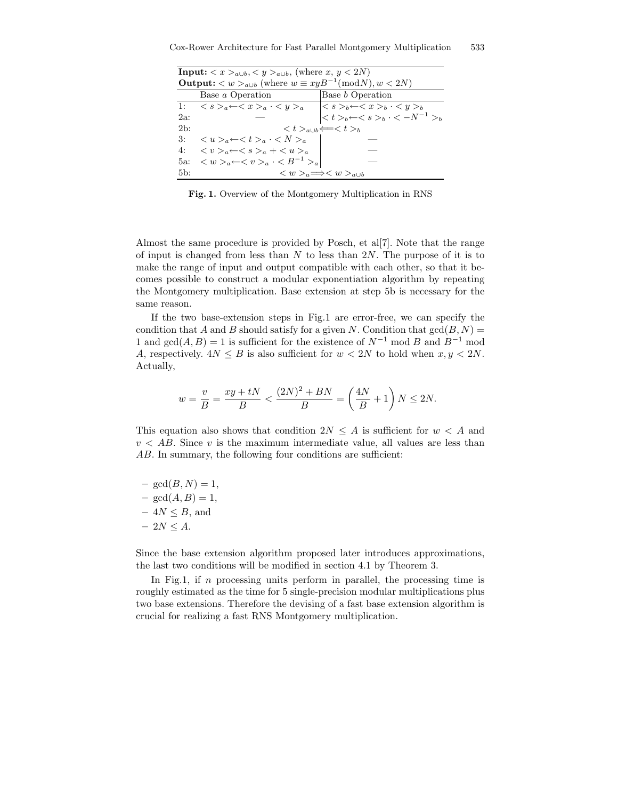| <b>Input:</b> $\langle x \rangle_{a\cup b}, \langle y \rangle_{a\cup b}$ , (where $x, y \langle 2N \rangle$ ) |                                                                                     |                                                                                                                                                                                                                                                              |  |  |  |
|---------------------------------------------------------------------------------------------------------------|-------------------------------------------------------------------------------------|--------------------------------------------------------------------------------------------------------------------------------------------------------------------------------------------------------------------------------------------------------------|--|--|--|
| <b>Output:</b> $\langle w \rangle_{a \cup b}$ (where $w \equiv xyB^{-1} \pmod{N}, w \le 2N$ )                 |                                                                                     |                                                                                                                                                                                                                                                              |  |  |  |
|                                                                                                               | Base a Operation                                                                    | Base <i>b</i> Operation                                                                                                                                                                                                                                      |  |  |  |
|                                                                                                               |                                                                                     | 1: $\langle s \rangle_a \leftarrow \langle x \rangle_a \cdot \langle y \rangle_a$<br>2a:<br>$\langle s \rangle_b \leftarrow \langle x \rangle_b \cdot \langle y \rangle_b$<br>$\langle t \rangle_b \leftarrow \langle s \rangle_b \cdot \langle y \rangle_b$ |  |  |  |
|                                                                                                               |                                                                                     |                                                                                                                                                                                                                                                              |  |  |  |
| $2b$ :                                                                                                        |                                                                                     | $\langle t \rangle_{a \cup b} \Longleftarrow \langle t \rangle_{b}$                                                                                                                                                                                          |  |  |  |
| 3:                                                                                                            | $\langle u \rangle_a \leftarrow \langle t \rangle_a \cdot \langle N \rangle_a$      |                                                                                                                                                                                                                                                              |  |  |  |
| 4:                                                                                                            | $\langle v \rangle_a \leftarrow \langle s \rangle_a + \langle u \rangle_a$          |                                                                                                                                                                                                                                                              |  |  |  |
| $5a$ :                                                                                                        | $\langle w \rangle_a \leftarrow \langle v \rangle_a \cdot \langle B^{-1} \rangle_a$ |                                                                                                                                                                                                                                                              |  |  |  |
| 5 <sub>b</sub>                                                                                                |                                                                                     | $\langle w \rangle_a \Longrightarrow \langle w \rangle_a$                                                                                                                                                                                                    |  |  |  |

Fig. 1. Overview of the Montgomery Multiplication in RNS

Almost the same procedure is provided by Posch, et al[7]. Note that the range of input is changed from less than  $N$  to less than  $2N$ . The purpose of it is to make the range of input and output compatible with each other, so that it becomes possible to construct a modular exponentiation algorithm by repeating the Montgomery multiplication. Base extension at step 5b is necessary for the same reason.

If the two base-extension steps in Fig.1 are error-free, we can specify the condition that A and B should satisfy for a given N. Condition that  $gcd(B, N)$  = 1 and  $gcd(A, B) = 1$  is sufficient for the existence of  $N^{-1}$  mod B and  $B^{-1}$  mod A, respectively.  $4N \leq B$  is also sufficient for  $w < 2N$  to hold when  $x, y < 2N$ . Actually,

$$
w = \frac{v}{B} = \frac{xy + tN}{B} < \frac{(2N)^2 + BN}{B} = \left(\frac{4N}{B} + 1\right)N \le 2N.
$$

This equation also shows that condition  $2N \leq A$  is sufficient for  $w < A$  and  $v < AB$ . Since v is the maximum intermediate value, all values are less than AB. In summary, the following four conditions are sufficient:

 $– \gcd(B, N) = 1,$  $– \gcd(A, B) = 1,$  $-4N \leq B$ , and  $-2N \leq A$ .

Since the base extension algorithm proposed later introduces approximations, the last two conditions will be modified in section 4.1 by Theorem 3.

In Fig.1, if  $n$  processing units perform in parallel, the processing time is roughly estimated as the time for 5 single-precision modular multiplications plus two base extensions. Therefore the devising of a fast base extension algorithm is crucial for realizing a fast RNS Montgomery multiplication.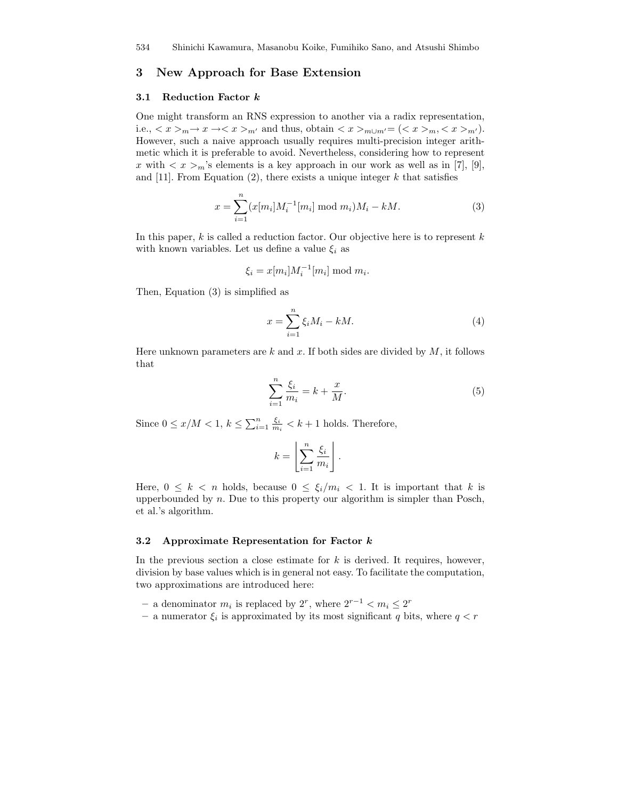## 3 New Approach for Base Extension

#### 3.1 Reduction Factor k

One might transform an RNS expression to another via a radix representation, i.e.,  $\langle x \rangle_m \to x \to \langle x \rangle_m$  and thus, obtain  $\langle x \rangle_m \cup_{m'} = (\langle x \rangle_m, \langle x \rangle_m)$ . However, such a naive approach usually requires multi-precision integer arithmetic which it is preferable to avoid. Nevertheless, considering how to represent x with  $\langle x \rangle_m$ 's elements is a key approach in our work as well as in [7], [9], and [11]. From Equation (2), there exists a unique integer  $k$  that satisfies

$$
x = \sum_{i=1}^{n} (x[m_i]M_i^{-1}[m_i] \bmod m_i)M_i - kM.
$$
 (3)

In this paper,  $k$  is called a reduction factor. Our objective here is to represent  $k$ with known variables. Let us define a value  $\xi_i$  as

$$
\xi_i = x[m_i]M_i^{-1}[m_i] \bmod m_i.
$$

Then, Equation (3) is simplified as

$$
x = \sum_{i=1}^{n} \xi_i M_i - kM.
$$
\n<sup>(4)</sup>

Here unknown parameters are k and x. If both sides are divided by  $M$ , it follows that

$$
\sum_{i=1}^{n} \frac{\xi_i}{m_i} = k + \frac{x}{M}.\tag{5}
$$

Since  $0 \leq x/M < 1$ ,  $k \leq \sum_{i=1}^{n} \frac{\xi_i}{m_i} < k+1$  holds. Therefore,

$$
k = \left\lfloor \sum_{i=1}^n \frac{\xi_i}{m_i} \right\rfloor.
$$

Here,  $0 \leq k \leq n$  holds, because  $0 \leq \xi_i/m_i \leq 1$ . It is important that k is upperbounded by  $n$ . Due to this property our algorithm is simpler than Posch, et al.'s algorithm.

#### 3.2 Approximate Representation for Factor k

In the previous section a close estimate for  $k$  is derived. It requires, however, division by base values which is in general not easy. To facilitate the computation, two approximations are introduced here:

- − a denominator  $m_i$  is replaced by  $2^r$ , where  $2^{r-1} < m_i \le 2^r$
- $-$  a numerator  $\xi_i$  is approximated by its most significant q bits, where  $q < r$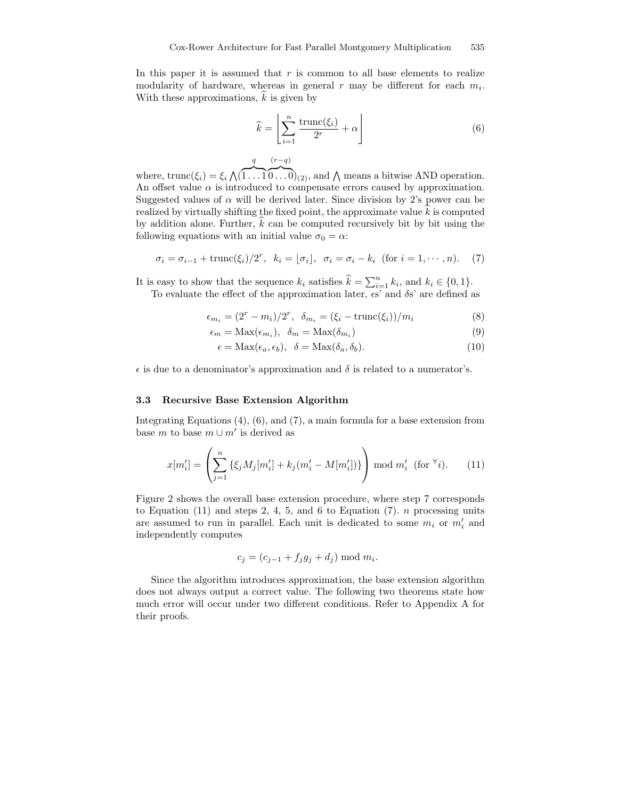In this paper it is assumed that  $r$  is common to all base elements to realize modularity of hardware, whereas in general  $r$  may be different for each  $m_i$ . With these approximations,  $\hat{k}$  is given by

$$
\widehat{k} = \left[ \sum_{i=1}^{n} \frac{\text{trunc}(\xi_i)}{2^r} + \alpha \right] \tag{6}
$$

where,  $\text{trunc}(\xi_i) = \xi_i \bigwedge (\xi_i)$  $\sum_{1}$   $\sum_{1}$  $\widehat{0...0}_{(2)}$ , and  $\bigwedge$  means a bitwise AND operation. An offset value  $\alpha$  is introduced to compensate errors caused by approximation. Suggested values of  $\alpha$  will be derived later. Since division by 2's power can be realized by virtually shifting the fixed point, the approximate value  $k$  is computed by addition alone. Further,  $k$  can be computed recursively bit by bit using the following equations with an initial value  $\sigma_0 = \alpha$ :

$$
\sigma_i = \sigma_{i-1} + \text{trunc}(\xi_i)/2^r, \ \ k_i = \lfloor \sigma_i \rfloor, \ \ \sigma_i = \sigma_i - k_i \ \ (\text{for } i = 1, \cdots, n). \tag{7}
$$

It is easy to show that the sequence  $k_i$  satisfies  $\widehat{k} = \sum_{i=1}^n k_i$ , and  $k_i \in \{0, 1\}$ .

To evaluate the effect of the approximation later,  $\epsilon s'$  and  $\delta s'$  are defined as

$$
\epsilon_{m_i} = (2^r - m_i)/2^r, \quad \delta_{m_i} = (\xi_i - \text{trunc}(\xi_i))/m_i \tag{8}
$$

$$
\epsilon_m = \text{Max}(\epsilon_{m_i}), \ \ \delta_m = \text{Max}(\delta_{m_i})
$$
\n(9)

$$
\epsilon = \text{Max}(\epsilon_a, \epsilon_b), \quad \delta = \text{Max}(\delta_a, \delta_b). \tag{10}
$$

 $\epsilon$  is due to a denominator's approximation and  $\delta$  is related to a numerator's.

#### 3.3 Recursive Base Extension Algorithm

q

 $(r-q)$ 

Integrating Equations (4), (6), and (7), a main formula for a base extension from base m to base  $m \cup m'$  is derived as

$$
x[m'_i] = \left(\sum_{j=1}^n \{\xi_j M_j[m'_i] + k_j(m'_i - M[m'_i])\}\right) \mod m'_i \text{ (for } \forall i\text{).}
$$
 (11)

Figure 2 shows the overall base extension procedure, where step 7 corresponds to Equation  $(11)$  and steps 2, 4, 5, and 6 to Equation  $(7)$ . *n* processing units are assumed to run in parallel. Each unit is dedicated to some  $m_i$  or  $m'_i$  and independently computes

$$
c_j = (c_{j-1} + f_j g_j + d_j) \bmod m_i.
$$

Since the algorithm introduces approximation, the base extension algorithm does not always output a correct value. The following two theorems state how much error will occur under two different conditions. Refer to Appendix A for their proofs.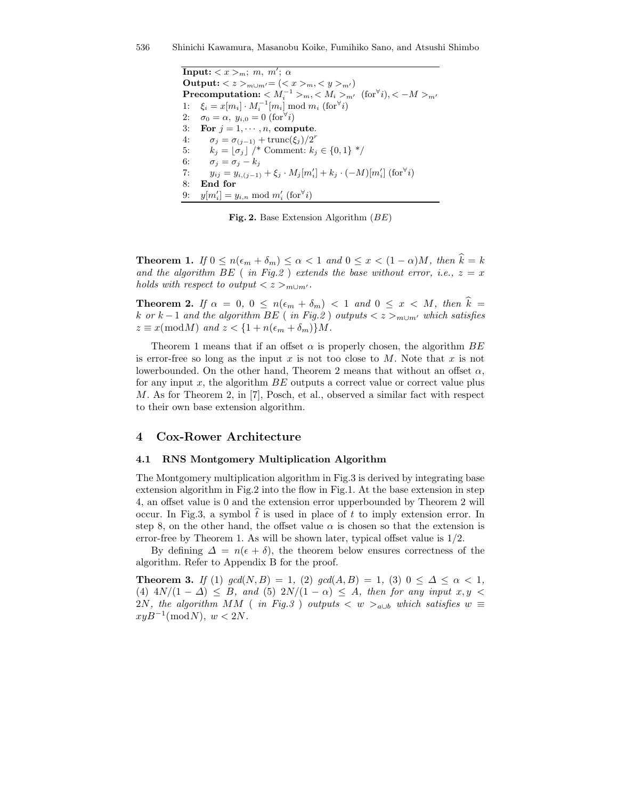$\textbf{Input:} < x > m; \; m, \; m'; \; \alpha$ Output: < z ><sub>m∪m</sub> $=$  (< x ><sub>m</sub>, < y ><sub>m'</sub>)  $\textbf{Precomputation:} < M_i^{-1} >_m, < M_i >_{m'} \ (\text{for}^{\forall} i), < -M >_{m'} \ \textbf{[}$ 1:  $\xi_i = x[m_i] \cdot M_i^{-1}[m_i] \bmod m_i \text{ (for} \forall i)$ 2:  $\sigma_0 = \alpha$ ,  $y_{i,0} = 0$  (for<sup> $\forall i$ </sup>) 3: For  $j = 1, \dots, n$ , compute. 4:  $\sigma_j = \sigma_{(j-1)} + \text{trunc}(\xi_j)/2^r$ 5:  $k_j = [\sigma_j] / *$  Comment:  $k_j \in \{0, 1\} *$ / 6:  $\sigma_j = \sigma_j - k_j$ 7:  $y_{ij} = y_{i,(j-1)} + \xi_j \cdot M_j[m'_i] + k_j \cdot (-M)[m'_i]$  (for<sup>∀</sup>*i*) 8: End for 9:  $y[m'_i] = y_{i,n} \mod m'_i \text{ (for } i)$ 

Fig. 2. Base Extension Algorithm (BE)

**Theorem 1.** If  $0 \le n(\epsilon_m + \delta_m) \le \alpha < 1$  and  $0 \le x < (1 - \alpha)M$ , then  $\hat{k} = k$ and the algorithm BE ( in Fig.2 ) extends the base without error, i.e.,  $z = x$ holds with respect to output  $\langle z \rangle_{m \cup m'}$ .

**Theorem 2.** If  $\alpha = 0, 0 \le n(\epsilon_m + \delta_m) < 1$  and  $0 \le x < M$ , then  $\hat{k} =$ k or k − 1 and the algorithm BE (in Fig.2) outputs  $\langle z \rangle_{m \cup m'}$  which satisfies  $z \equiv x \pmod{M}$  and  $z < \{1 + n(\epsilon_m + \delta_m)\}M$ .

Theorem 1 means that if an offset  $\alpha$  is properly chosen, the algorithm  $BE$ is error-free so long as the input x is not too close to  $M$ . Note that x is not lowerbounded. On the other hand, Theorem 2 means that without an offset  $\alpha$ , for any input  $x$ , the algorithm  $BE$  outputs a correct value or correct value plus M. As for Theorem 2, in [7], Posch, et al., observed a similar fact with respect to their own base extension algorithm.

## 4 Cox-Rower Architecture

#### 4.1 RNS Montgomery Multiplication Algorithm

The Montgomery multiplication algorithm in Fig.3 is derived by integrating base extension algorithm in Fig.2 into the flow in Fig.1. At the base extension in step 4, an offset value is 0 and the extension error upperbounded by Theorem 2 will occur. In Fig.3, a symbol  $t$  is used in place of  $t$  to imply extension error. In step 8, on the other hand, the offset value  $\alpha$  is chosen so that the extension is error-free by Theorem 1. As will be shown later, typical offset value is 1/2.

By defining  $\Delta = n(\epsilon + \delta)$ , the theorem below ensures correctness of the algorithm. Refer to Appendix B for the proof.

**Theorem 3.** If (1) gcd(N, B) = 1, (2) gcd(A, B) = 1, (3)  $0 \leq \Delta \leq \alpha < 1$ , (4)  $4N/(1 - \Delta) \leq B$ , and (5)  $2N/(1 - \alpha) \leq A$ , then for any input  $x, y$ 2N, the algorithm MM ( in Fig.3 ) outputs  $\langle w \rangle_{a \cup b}$  which satisfies  $w \equiv$  $xyB^{-1}(\text{mod }N), w < 2N.$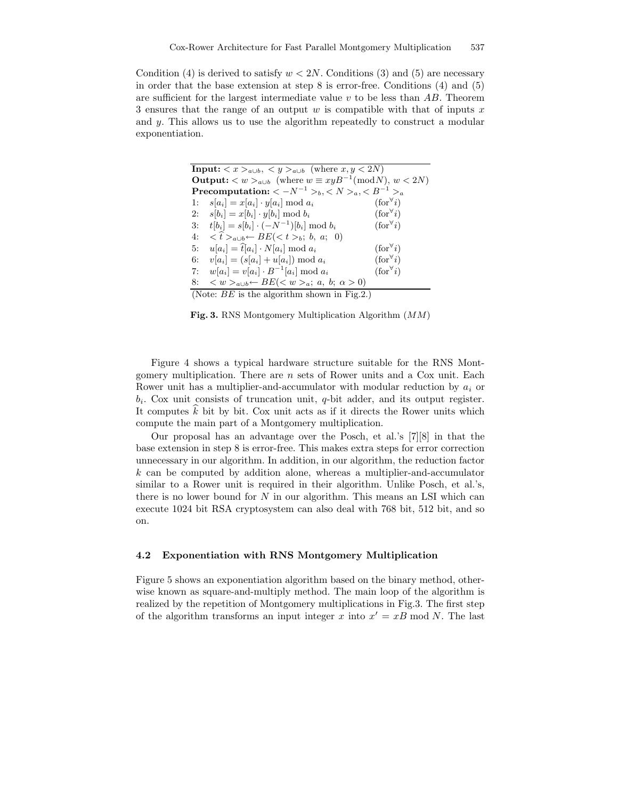Condition (4) is derived to satisfy  $w < 2N$ . Conditions (3) and (5) are necessary in order that the base extension at step 8 is error-free. Conditions (4) and (5) are sufficient for the largest intermediate value  $v$  to be less than  $AB$ . Theorem 3 ensures that the range of an output  $w$  is compatible with that of inputs  $x$ and y. This allows us to use the algorithm repeatedly to construct a modular exponentiation.

| <b>Input:</b> $\langle x \rangle_{a \cup b}$ , $\langle y \rangle_{a \cup b}$ (where $x, y \langle 2N \rangle$ ) |                            |  |  |  |  |
|------------------------------------------------------------------------------------------------------------------|----------------------------|--|--|--|--|
| <b>Output:</b> $\langle w \rangle_{a \cup b}$ (where $w \equiv xyB^{-1} \pmod{N}$ , $w \langle 2N \rangle$ )     |                            |  |  |  |  |
| <b>Precomputation:</b> $\langle -N^{-1}\rangle_b, \langle N\rangle_a, \langle B^{-1}\rangle_a$                   |                            |  |  |  |  |
| $s[a_i] = x[a_i] \cdot y[a_i] \bmod a_i$<br>1:                                                                   | $(\text{for} \forall i)$   |  |  |  |  |
| $s[b_i] = x[b_i] \cdot y[b_i] \mod b_i$<br>2:                                                                    | $(\text{for}^{\forall} i)$ |  |  |  |  |
| $t[b_i] = s[b_i] \cdot (-N^{-1})[b_i] \bmod b_i$<br>3:                                                           | $(\text{for}^{\forall} i)$ |  |  |  |  |
| $\langle \hat{t} \rangle_{a \cup b} \leftarrow BE(\langle t \rangle_b; b, a; 0)$<br>4:                           |                            |  |  |  |  |
| $u[a_i] = \hat{t}[a_i] \cdot N[a_i] \bmod a_i$<br>5:                                                             | $(\text{for}^{\forall} i)$ |  |  |  |  |
| $v[a_i] = (s[a_i] + u[a_i]) \bmod a_i$<br>6:                                                                     | $(\text{for}^{\forall} i)$ |  |  |  |  |
| $w[a_i] = v[a_i] \cdot B^{-1}[a_i] \bmod a_i$<br>7:                                                              | $(\text{for} \forall i)$   |  |  |  |  |
| $\langle w \rangle_{a \cup b} \leftarrow BE(\langle w \rangle_a; a, b; \alpha > 0)$<br>8:                        |                            |  |  |  |  |
| (Note: $BE$ is the algorithm shown in Fig.2.)                                                                    |                            |  |  |  |  |

Fig. 3. RNS Montgomery Multiplication Algorithm (MM)

Figure 4 shows a typical hardware structure suitable for the RNS Montgomery multiplication. There are  $n$  sets of Rower units and a Cox unit. Each Rower unit has a multiplier-and-accumulator with modular reduction by  $a_i$  or  $b_i$ . Cox unit consists of truncation unit, q-bit adder, and its output register. It computes  $\hat{k}$  bit by bit. Cox unit acts as if it directs the Rower units which compute the main part of a Montgomery multiplication.

Our proposal has an advantage over the Posch, et al.'s [7][8] in that the base extension in step 8 is error-free. This makes extra steps for error correction unnecessary in our algorithm. In addition, in our algorithm, the reduction factor  $k$  can be computed by addition alone, whereas a multiplier-and-accumulator similar to a Rower unit is required in their algorithm. Unlike Posch, et al.'s, there is no lower bound for  $N$  in our algorithm. This means an LSI which can execute 1024 bit RSA cryptosystem can also deal with 768 bit, 512 bit, and so on.

### 4.2 Exponentiation with RNS Montgomery Multiplication

Figure 5 shows an exponentiation algorithm based on the binary method, otherwise known as square-and-multiply method. The main loop of the algorithm is realized by the repetition of Montgomery multiplications in Fig.3. The first step of the algorithm transforms an input integer x into  $x' = xB \mod N$ . The last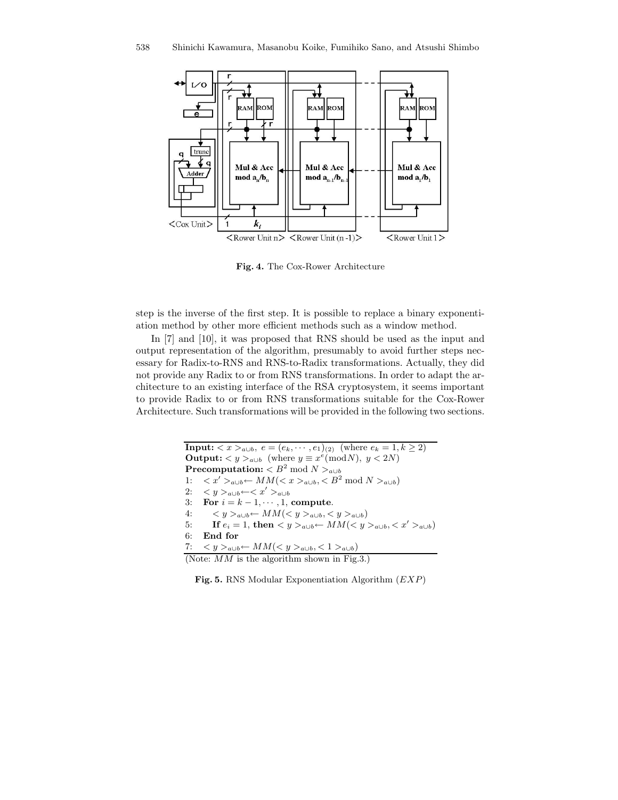

Fig. 4. The Cox-Rower Architecture

step is the inverse of the first step. It is possible to replace a binary exponentiation method by other more efficient methods such as a window method.

In [7] and [10], it was proposed that RNS should be used as the input and output representation of the algorithm, presumably to avoid further steps necessary for Radix-to-RNS and RNS-to-Radix transformations. Actually, they did not provide any Radix to or from RNS transformations. In order to adapt the architecture to an existing interface of the RSA cryptosystem, it seems important to provide Radix to or from RNS transformations suitable for the Cox-Rower Architecture. Such transformations will be provided in the following two sections.

```
Input: \langle x \rangle_{a \cup b}, e = (e_k, \dots, e_1)_{(2)} (where e_k = 1, k \ge 2)
Output: \langle y \rangle_{a \cup b} (where y \equiv x^e \pmod{N}, y \langle 2N \rangle\textbf{Precomputation:} < B^2 \bmod N >_{a \cup b}1: \langle x' \rangle_{a \cup b}← MM(<i>x</i>)_{a \cup b}, \langle B^2 \bmod N \rangle_{a \cup b}2: \langle y \rangle_{a \cup b} \leftarrow \langle x' \rangle_{a \cup b}3: For i = k - 1, \dots, 1, compute.
4: \langle y \rangle_{a \cup b}← MM(<i>y</i>)_{a \cup b}, <i>y</i>)_{a \cup b})5: If e_i = 1, then \langle y \rangle_{a \cup b} \leftarrow MM(\langle y \rangle_{a \cup b}, \langle x' \rangle_{a \cup b})6: End for
7: \langle y \rangle_{a \cup b}← MM(<i>y</i>)_{a \cup b}, < 1>_{a \cup b})(Note: MM is the algorithm shown in Fig.3.)
```
Fig. 5. RNS Modular Exponentiation Algorithm  $(EXP)$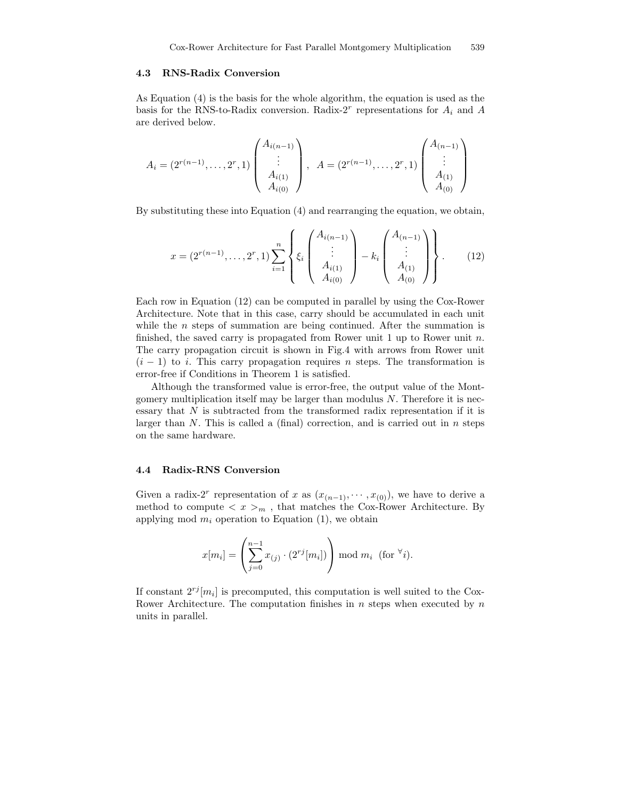#### 4.3 RNS-Radix Conversion

As Equation (4) is the basis for the whole algorithm, the equation is used as the basis for the RNS-to-Radix conversion. Radix-2<sup>r</sup> representations for  $A_i$  and A are derived below.

$$
A_i = (2^{r(n-1)}, \dots, 2^r, 1) \begin{pmatrix} A_{i(n-1)} \\ \vdots \\ A_{i(1)} \\ A_{i(0)} \end{pmatrix}, \quad A = (2^{r(n-1)}, \dots, 2^r, 1) \begin{pmatrix} A_{(n-1)} \\ \vdots \\ A_{(1)} \\ A_{(0)} \end{pmatrix}
$$

By substituting these into Equation (4) and rearranging the equation, we obtain,

$$
x = (2^{r(n-1)}, \dots, 2^r, 1) \sum_{i=1}^n \left\{ \xi_i \begin{pmatrix} A_{i(n-1)} \\ \vdots \\ A_{i(1)} \\ A_{i(0)} \end{pmatrix} - k_i \begin{pmatrix} A_{(n-1)} \\ \vdots \\ A_{(1)} \\ A_{(0)} \end{pmatrix} \right\}.
$$
 (12)

Each row in Equation (12) can be computed in parallel by using the Cox-Rower Architecture. Note that in this case, carry should be accumulated in each unit while the  $n$  steps of summation are being continued. After the summation is finished, the saved carry is propagated from Rower unit 1 up to Rower unit  $n$ . The carry propagation circuit is shown in Fig.4 with arrows from Rower unit  $(i - 1)$  to i. This carry propagation requires n steps. The transformation is error-free if Conditions in Theorem 1 is satisfied.

Although the transformed value is error-free, the output value of the Montgomery multiplication itself may be larger than modulus  $N$ . Therefore it is necessary that  $N$  is subtracted from the transformed radix representation if it is larger than  $N$ . This is called a (final) correction, and is carried out in  $n$  steps on the same hardware.

#### 4.4 Radix-RNS Conversion

Given a radix-2<sup>r</sup> representation of x as  $(x_{(n-1)}, \cdots, x_{(0)})$ , we have to derive a method to compute  $\langle x \rangle_m$ , that matches the Cox-Rower Architecture. By applying mod  $m_i$  operation to Equation (1), we obtain

$$
x[m_i] = \left(\sum_{j=0}^{n-1} x_{(j)} \cdot (2^{rj}[m_i])\right) \mod m_i \text{ (for } \forall i).
$$

If constant  $2^{rj}[m_i]$  is precomputed, this computation is well suited to the Cox-Rower Architecture. The computation finishes in  $n$  steps when executed by  $n$ units in parallel.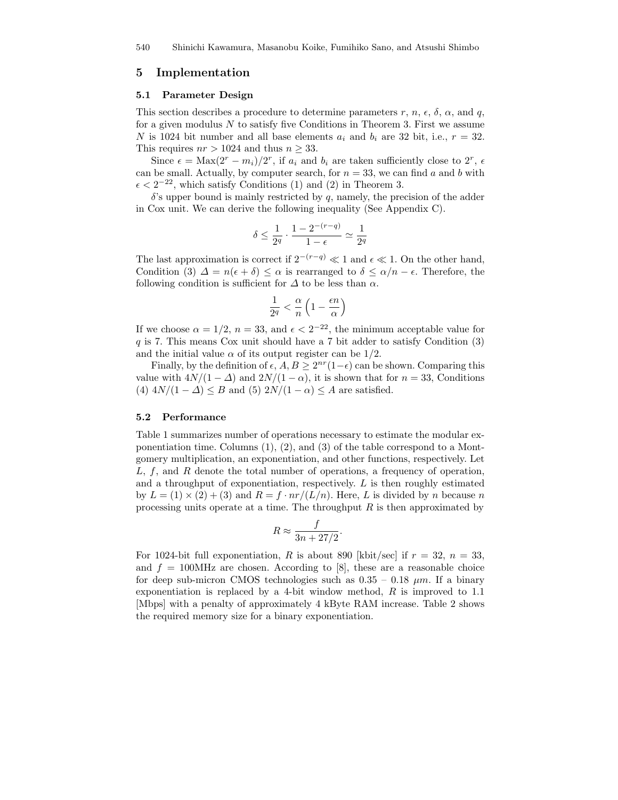## 5 Implementation

### 5.1 Parameter Design

This section describes a procedure to determine parameters r, n,  $\epsilon$ ,  $\delta$ ,  $\alpha$ , and q, for a given modulus  $N$  to satisfy five Conditions in Theorem 3. First we assume N is 1024 bit number and all base elements  $a_i$  and  $b_i$  are 32 bit, i.e.,  $r = 32$ . This requires  $nr > 1024$  and thus  $n \geq 33$ .

Since  $\epsilon = \text{Max}(2^r - m_i)/2^r$ , if  $a_i$  and  $b_i$  are taken sufficiently close to  $2^r$ ,  $\epsilon$ can be small. Actually, by computer search, for  $n = 33$ , we can find a and b with  $\epsilon < 2^{-22}$ , which satisfy Conditions (1) and (2) in Theorem 3.

 $\delta$ 's upper bound is mainly restricted by q, namely, the precision of the adder in Cox unit. We can derive the following inequality (See Appendix C).

$$
\delta \le \frac{1}{2^q} \cdot \frac{1 - 2^{-(r-q)}}{1 - \epsilon} \simeq \frac{1}{2^q}
$$

The last approximation is correct if  $2^{-(r-q)} \ll 1$  and  $\epsilon \ll 1$ . On the other hand, Condition (3)  $\Delta = n(\epsilon + \delta) \leq \alpha$  is rearranged to  $\delta \leq \alpha/n - \epsilon$ . Therefore, the following condition is sufficient for  $\Delta$  to be less than  $\alpha$ .

$$
\frac{1}{2^q} < \frac{\alpha}{n} \left( 1 - \frac{\epsilon n}{\alpha} \right)
$$

If we choose  $\alpha = 1/2$ ,  $n = 33$ , and  $\epsilon < 2^{-22}$ , the minimum acceptable value for q is 7. This means Cox unit should have a 7 bit adder to satisfy Condition (3) and the initial value  $\alpha$  of its output register can be 1/2.

Finally, by the definition of  $\epsilon$ ,  $A, B \geq 2^{nr}(1-\epsilon)$  can be shown. Comparing this value with  $4N/(1 - \Delta)$  and  $2N/(1 - \alpha)$ , it is shown that for  $n = 33$ , Conditions (4)  $4N/(1 - \Delta) \leq B$  and (5)  $2N/(1 - \alpha) \leq A$  are satisfied.

#### 5.2 Performance

Table 1 summarizes number of operations necessary to estimate the modular exponentiation time. Columns (1), (2), and (3) of the table correspond to a Montgomery multiplication, an exponentiation, and other functions, respectively. Let  $L, f$ , and R denote the total number of operations, a frequency of operation, and a throughput of exponentiation, respectively.  $L$  is then roughly estimated by  $L = (1) \times (2) + (3)$  and  $R = f \cdot nr/(L/n)$ . Here, L is divided by n because n processing units operate at a time. The throughput  $R$  is then approximated by

$$
R \approx \frac{f}{3n + 27/2}.
$$

For 1024-bit full exponentiation, R is about 890 [kbit/sec] if  $r = 32$ ,  $n = 33$ , and  $f = 100 \text{MHz}$  are chosen. According to [8], these are a reasonable choice for deep sub-micron CMOS technologies such as  $0.35 - 0.18 \mu m$ . If a binary exponentiation is replaced by a 4-bit window method, R is improved to 1.1 [Mbps] with a penalty of approximately 4 kByte RAM increase. Table 2 shows the required memory size for a binary exponentiation.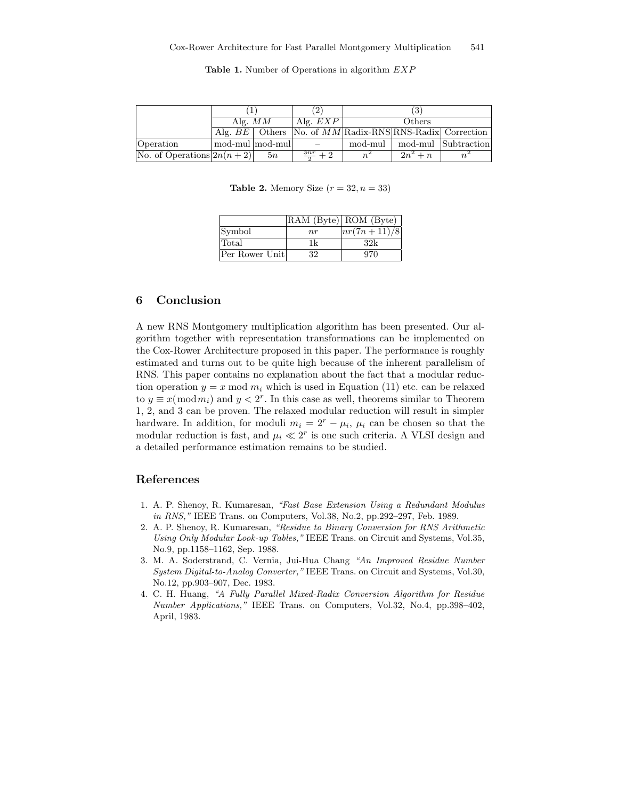|                             | Alg. $MM$       |    | Alg. $EXP$                                                  | Others  |            |                     |
|-----------------------------|-----------------|----|-------------------------------------------------------------|---------|------------|---------------------|
|                             |                 |    | Alg. $BE$ Others No. of $MM$ Radix-RNS RNS-Radix Correction |         |            |                     |
| Operation                   | mod-mul mod-mul |    |                                                             | mod-mul |            | mod-mul Subtraction |
| No. of Operations $2n(n+2)$ |                 | 5n | 3nr<br>$\sqrt{2}$                                           |         | $2n^2 + n$ |                     |

Table 1. Number of Operations in algorithm  $EXP$ 

**Table 2.** Memory Size  $(r = 32, n = 33)$ 

|                |     | RAM (Byte) ROM (Byte) |
|----------------|-----|-----------------------|
| Symbol         | n r | $nr(7n+11)/8$         |
| Total          | 1k  | 32k                   |
| Per Rower Unit | 32  | 970                   |

# 6 Conclusion

A new RNS Montgomery multiplication algorithm has been presented. Our algorithm together with representation transformations can be implemented on the Cox-Rower Architecture proposed in this paper. The performance is roughly estimated and turns out to be quite high because of the inherent parallelism of RNS. This paper contains no explanation about the fact that a modular reduction operation  $y = x \mod m_i$  which is used in Equation (11) etc. can be relaxed to  $y \equiv x \pmod{m_i}$  and  $y < 2^r$ . In this case as well, theorems similar to Theorem 1, 2, and 3 can be proven. The relaxed modular reduction will result in simpler hardware. In addition, for moduli  $m_i = 2^r - \mu_i$ ,  $\mu_i$  can be chosen so that the modular reduction is fast, and  $\mu_i \ll 2^r$  is one such criteria. A VLSI design and a detailed performance estimation remains to be studied.

# References

- 1. A. P. Shenoy, R. Kumaresan, "Fast Base Extension Using a Redundant Modulus in RNS," IEEE Trans. on Computers, Vol.38, No.2, pp.292–297, Feb. 1989.
- 2. A. P. Shenoy, R. Kumaresan, "Residue to Binary Conversion for RNS Arithmetic Using Only Modular Look-up Tables," IEEE Trans. on Circuit and Systems, Vol.35, No.9, pp.1158–1162, Sep. 1988.
- 3. M. A. Soderstrand, C. Vernia, Jui-Hua Chang "An Improved Residue Number System Digital-to-Analog Converter," IEEE Trans. on Circuit and Systems, Vol.30, No.12, pp.903–907, Dec. 1983.
- 4. C. H. Huang, "A Fully Parallel Mixed-Radix Conversion Algorithm for Residue Number Applications," IEEE Trans. on Computers, Vol.32, No.4, pp.398–402, April, 1983.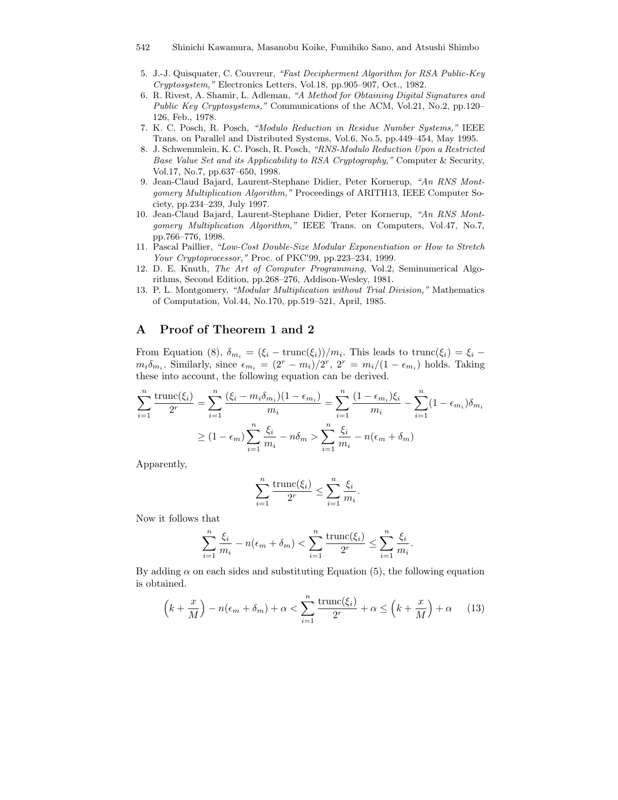- 542 Shinichi Kawamura, Masanobu Koike, Fumihiko Sano, and Atsushi Shimbo
- 5. J.-J. Quisquater, C. Couvreur, "Fast Decipherment Algorithm for RSA Public-Key Cryptosystem," Electronics Letters, Vol.18, pp.905–907, Oct., 1982.
- 6. R. Rivest, A. Shamir, L. Adleman, "A Method for Obtaining Digital Signatures and Public Key Cryptosystems," Communications of the ACM, Vol.21, No.2, pp.120– 126, Feb., 1978.
- 7. K. C. Posch, R. Posch, "Modulo Reduction in Residue Number Systems," IEEE Trans. on Parallel and Distributed Systems, Vol.6, No.5, pp.449–454, May 1995.
- 8. J. Schwemmlein, K. C. Posch, R. Posch, "RNS-Modulo Reduction Upon a Restricted Base Value Set and its Applicability to RSA Cryptography," Computer & Security, Vol.17, No.7, pp.637–650, 1998.
- 9. Jean-Claud Bajard, Laurent-Stephane Didier, Peter Kornerup, "An RNS Montgomery Multiplication Algorithm," Proceedings of ARITH13, IEEE Computer Society, pp.234–239, July 1997.
- 10. Jean-Claud Bajard, Laurent-Stephane Didier, Peter Kornerup, "An RNS Montgomery Multiplication Algorithm," IEEE Trans. on Computers, Vol.47, No.7, pp.766–776, 1998.
- 11. Pascal Paillier, "Low-Cost Double-Size Modular Exponentiation or How to Stretch Your Cryptoprocessor," Proc. of PKC'99, pp.223–234, 1999.
- 12. D. E. Knuth, The Art of Computer Programming, Vol.2, Seminumerical Algorithms, Second Edition, pp.268–276, Addison-Wesley, 1981.
- 13. P. L. Montgomery, "Modular Multiplication without Trial Division," Mathematics of Computation, Vol.44, No.170, pp.519–521, April, 1985.

# A Proof of Theorem 1 and 2

From Equation (8),  $\delta_{m_i} = (\xi_i - \text{trunc}(\xi_i))/m_i$ . This leads to  $\text{trunc}(\xi_i) = \xi_i - \xi_i$  $m_i \delta_{m_i}$ . Similarly, since  $\epsilon_{m_i} = (2^r - m_i)/2^r$ ,  $2^r = m_i/(1 - \epsilon_{m_i})$  holds. Taking these into account, the following equation can be derived.

$$
\sum_{i=1}^{n} \frac{\text{trunc}(\xi_i)}{2^r} = \sum_{i=1}^{n} \frac{(\xi_i - m_i \delta_{m_i})(1 - \epsilon_{m_i})}{m_i} = \sum_{i=1}^{n} \frac{(1 - \epsilon_{m_i})\xi_i}{m_i} - \sum_{i=1}^{n} (1 - \epsilon_{m_i})\delta_{m_i}
$$

$$
\ge (1 - \epsilon_m) \sum_{i=1}^{n} \frac{\xi_i}{m_i} - n\delta_m > \sum_{i=1}^{n} \frac{\xi_i}{m_i} - n(\epsilon_m + \delta_m)
$$

Apparently,

$$
\sum_{i=1}^{n} \frac{\text{trunc}(\xi_i)}{2^r} \le \sum_{i=1}^{n} \frac{\xi_i}{m_i}.
$$

Now it follows that

$$
\sum_{i=1}^{n} \frac{\xi_i}{m_i} - n(\epsilon_m + \delta_m) < \sum_{i=1}^{n} \frac{\text{trunc}(\xi_i)}{2^r} \le \sum_{i=1}^{n} \frac{\xi_i}{m_i}.
$$

By adding  $\alpha$  on each sides and substituting Equation (5), the following equation is obtained.

$$
\left(k + \frac{x}{M}\right) - n(\epsilon_m + \delta_m) + \alpha < \sum_{i=1}^n \frac{\text{trunc}(\xi_i)}{2^r} + \alpha \le \left(k + \frac{x}{M}\right) + \alpha \tag{13}
$$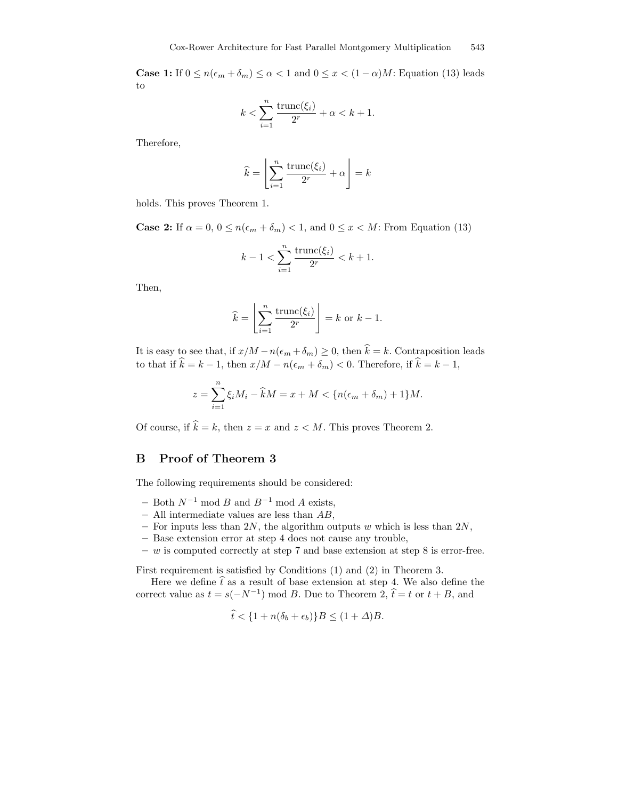**Case 1:** If  $0 \le n(\epsilon_m + \delta_m) \le \alpha < 1$  and  $0 \le x < (1 - \alpha)M$ : Equation (13) leads to

$$
k < \sum_{i=1}^n \frac{\text{trunc}(\xi_i)}{2^r} + \alpha < k+1.
$$

Therefore,

$$
\widehat{k} = \left\lfloor \sum_{i=1}^{n} \frac{\text{trunc}(\xi_i)}{2^r} + \alpha \right\rfloor = k
$$

holds. This proves Theorem 1.

**Case 2:** If  $\alpha = 0, 0 \le n(\epsilon_m + \delta_m) < 1$ , and  $0 \le x < M$ : From Equation (13)

$$
k - 1 < \sum_{i=1}^{n} \frac{\text{trunc}(\xi_i)}{2^r} < k + 1.
$$

Then,

$$
\widehat{k} = \left\lfloor \sum_{i=1}^{n} \frac{\text{trunc}(\xi_i)}{2^r} \right\rfloor = k \text{ or } k - 1.
$$

It is easy to see that, if  $x/M - n(\epsilon_m + \delta_m) \ge 0$ , then  $\hat{k} = k$ . Contraposition leads to that if  $\hat{k} = k - 1$ , then  $x/M - n(\epsilon_m + \delta_m) < 0$ . Therefore, if  $\hat{k} = k - 1$ ,

$$
z = \sum_{i=1}^{n} \xi_i M_i - \widehat{k}M = x + M < \{ n(\epsilon_m + \delta_m) + 1 \} M.
$$

Of course, if  $\hat{k} = k$ , then  $z = x$  and  $z < M$ . This proves Theorem 2.

## B Proof of Theorem 3

The following requirements should be considered:

- Both  $N^{-1}$  mod B and  $B^{-1}$  mod A exists,
- All intermediate values are less than  $AB$ ,
- For inputs less than 2N, the algorithm outputs w which is less than  $2N$ ,
- Base extension error at step 4 does not cause any trouble,
- $w$  is computed correctly at step 7 and base extension at step 8 is error-free.

First requirement is satisfied by Conditions (1) and (2) in Theorem 3.

Here we define  $\hat{t}$  as a result of base extension at step 4. We also define the correct value as  $t = s(-N^{-1}) \mod B$ . Due to Theorem 2,  $\hat{t} = t$  or  $t + B$ , and

$$
\hat{t} < \{1 + n(\delta_b + \epsilon_b)\}B \le (1 + \Delta)B.
$$